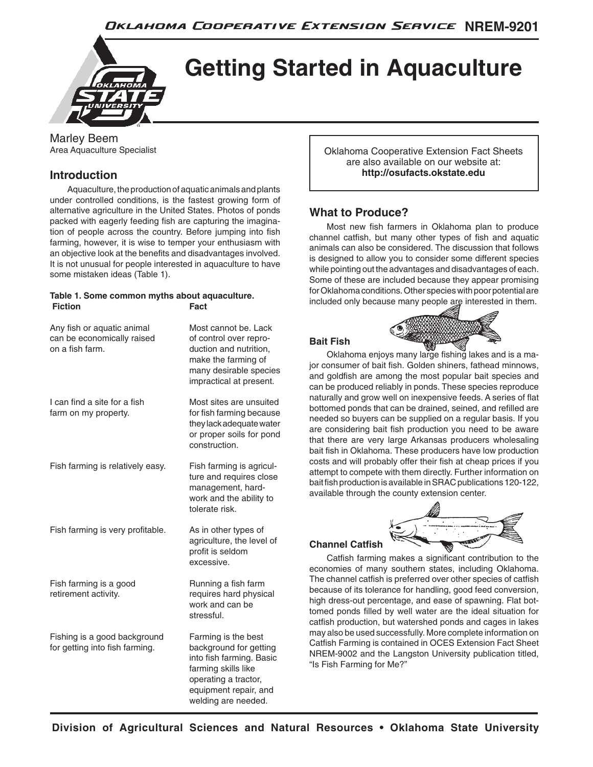

# **Getting Started in Aquaculture**

Marley Beem Area Aquaculture Specialist

# **Introduction**

Aquaculture, the production of aquatic animals and plants under controlled conditions, is the fastest growing form of alternative agriculture in the United States. Photos of ponds packed with eagerly feeding fish are capturing the imagination of people across the country. Before jumping into fish farming, however, it is wise to temper your enthusiasm with an objective look at the benefits and disadvantages involved. It is not unusual for people interested in aquaculture to have some mistaken ideas (Table 1).

#### **Table 1. Some common myths about aquaculture. Fiction** Fact

| Any fish or aquatic animal<br>can be economically raised<br>on a fish farm. | Most cannot be, Lack<br>of control over repro-<br>duction and nutrition,<br>make the farming of<br>many desirable species<br>impractical at present.                     |
|-----------------------------------------------------------------------------|--------------------------------------------------------------------------------------------------------------------------------------------------------------------------|
| I can find a site for a fish<br>farm on my property.                        | Most sites are unsuited<br>for fish farming because<br>they lack adequate water<br>or proper soils for pond<br>construction.                                             |
| Fish farming is relatively easy.                                            | Fish farming is agricul-<br>ture and requires close<br>management, hard-<br>work and the ability to<br>tolerate risk.                                                    |
| Fish farming is very profitable.                                            | As in other types of<br>agriculture, the level of<br>profit is seldom<br>excessive.                                                                                      |
| Fish farming is a good<br>retirement activity.                              | Running a fish farm<br>requires hard physical<br>work and can be<br>stressful.                                                                                           |
| Fishing is a good background<br>for getting into fish farming.              | Farming is the best<br>background for getting<br>into fish farming. Basic<br>farming skills like<br>operating a tractor,<br>equipment repair, and<br>welding are needed. |

Oklahoma Cooperative Extension Fact Sheets are also available on our website at: **http://osufacts.okstate.edu**

# **What to Produce?**

Most new fish farmers in Oklahoma plan to produce channel catfish, but many other types of fish and aquatic animals can also be considered. The discussion that follows is designed to allow you to consider some different species while pointing out the advantages and disadvantages of each. Some of these are included because they appear promising for Oklahoma conditions. Other species with poor potential are included only because many people are interested in them.

# **Bait Fish**



Oklahoma enjoys many large fishing lakes and is a major consumer of bait fish. Golden shiners, fathead minnows, and goldfish are among the most popular bait species and can be produced reliably in ponds. These species reproduce naturally and grow well on inexpensive feeds. A series of flat bottomed ponds that can be drained, seined, and refilled are needed so buyers can be supplied on a regular basis. If you are considering bait fish production you need to be aware that there are very large Arkansas producers wholesaling bait fish in Oklahoma. These producers have low production costs and will probably offer their fish at cheap prices if you attempt to compete with them directly. Further information on bait fish production is available in SRAC publications 120-122, available through the county extension center.

#### **Channel Catfish**



Catfish farming makes a significant contribution to the economies of many southern states, including Oklahoma. The channel catfish is preferred over other species of catfish because of its tolerance for handling, good feed conversion, high dress-out percentage, and ease of spawning. Flat bottomed ponds filled by well water are the ideal situation for catfish production, but watershed ponds and cages in lakes may also be used successfully. More complete information on Catfish Farming is contained in OCES Extension Fact Sheet NREM-9002 and the Langston University publication titled, "Is Fish Farming for Me?"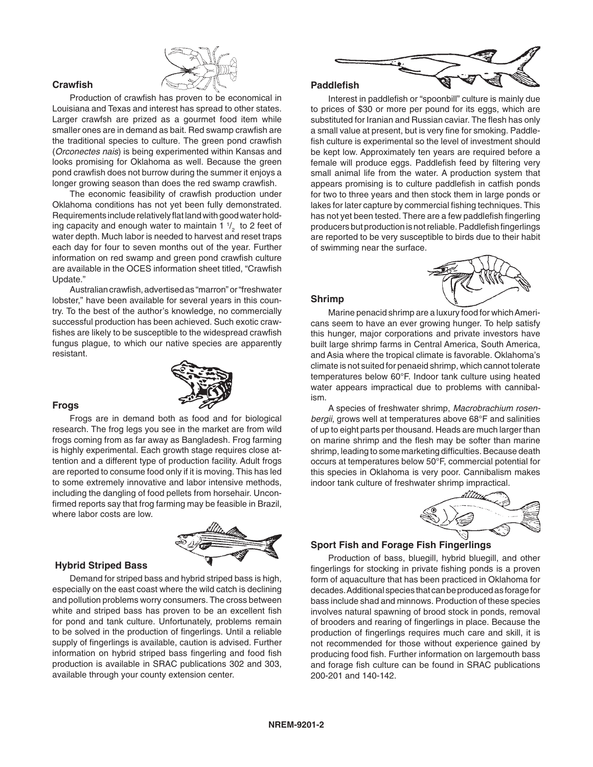

#### **Crawfish**

Production of crawfish has proven to be economical in Louisiana and Texas and interest has spread to other states. Larger crawfsh are prized as a gourmet food item while smaller ones are in demand as bait. Red swamp crawfish are the traditional species to culture. The green pond crawfish (*Orconectes nais*) is being experimented within Kansas and looks promising for Oklahoma as well. Because the green pond crawfish does not burrow during the summer it enjoys a longer growing season than does the red swamp crawfish.

The economic feasibility of crawfish production under Oklahoma conditions has not yet been fully demonstrated. Requirements include relatively flat land with good water holding capacity and enough water to maintain 1  $\frac{1}{2}$  to 2 feet of water depth. Much labor is needed to harvest and reset traps each day for four to seven months out of the year. Further information on red swamp and green pond crawfish culture are available in the OCES information sheet titled, "Crawfish Update."

Australian crawfish, advertised as "marron" or "freshwater lobster," have been available for several years in this country. To the best of the author's knowledge, no commercially successful production has been achieved. Such exotic crawfishes are likely to be susceptible to the widespread crawfish fungus plague, to which our native species are apparently resistant.



#### **Frogs**

Frogs are in demand both as food and for biological research. The frog legs you see in the market are from wild frogs coming from as far away as Bangladesh. Frog farming is highly experimental. Each growth stage requires close attention and a different type of production facility. Adult frogs are reported to consume food only if it is moving. This has led to some extremely innovative and labor intensive methods, including the dangling of food pellets from horsehair. Unconfirmed reports say that frog farming may be feasible in Brazil, where labor costs are low.



#### **Hybrid Striped Bass**

Demand for striped bass and hybrid striped bass is high, especially on the east coast where the wild catch is declining and pollution problems worry consumers. The cross between white and striped bass has proven to be an excellent fish for pond and tank culture. Unfortunately, problems remain to be solved in the production of fingerlings. Until a reliable supply of fingerlings is available, caution is advised. Further information on hybrid striped bass fingerling and food fish production is available in SRAC publications 302 and 303, available through your county extension center.



#### **Paddlefish**

Interest in paddlefish or "spoonbill" culture is mainly due to prices of \$30 or more per pound for its eggs, which are substituted for Iranian and Russian caviar. The flesh has only a small value at present, but is very fine for smoking. Paddlefish culture is experimental so the level of investment should be kept low. Approximately ten years are required before a female will produce eggs. Paddlefish feed by filtering very small animal life from the water. A production system that appears promising is to culture paddlefish in catfish ponds for two to three years and then stock them in large ponds or lakes for later capture by commercial fishing techniques. This has not yet been tested. There are a few paddlefish fingerling producers but production is not reliable. Paddlefish fingerlings are reported to be very susceptible to birds due to their habit of swimming near the surface.



#### **Shrimp**

Marine penacid shrimp are a luxury food for which Americans seem to have an ever growing hunger. To help satisfy this hunger, major corporations and private investors have built large shrimp farms in Central America, South America, and Asia where the tropical climate is favorable. Oklahoma's climate is not suited for penaeid shrimp, which cannot tolerate temperatures below 60°F. Indoor tank culture using heated water appears impractical due to problems with cannibalism.

A species of freshwater shrimp, *Macrobrachium rosenbergii*, grows well at temperatures above 68°F and salinities of up to eight parts per thousand. Heads are much larger than on marine shrimp and the flesh may be softer than marine shrimp, leading to some marketing difficulties. Because death occurs at temperatures below 50°F, commercial potential for this species in Oklahoma is very poor. Cannibalism makes indoor tank culture of freshwater shrimp impractical.



#### **Sport Fish and Forage Fish Fingerlings**

Production of bass, bluegill, hybrid bluegill, and other fingerlings for stocking in private fishing ponds is a proven form of aquaculture that has been practiced in Oklahoma for decades. Additional species that can be produced as forage for bass include shad and minnows. Production of these species involves natural spawning of brood stock in ponds, removal of brooders and rearing of fingerlings in place. Because the production of fingerlings requires much care and skill, it is not recommended for those without experience gained by producing food fish. Further information on largemouth bass and forage fish culture can be found in SRAC publications 200-201 and 140-142.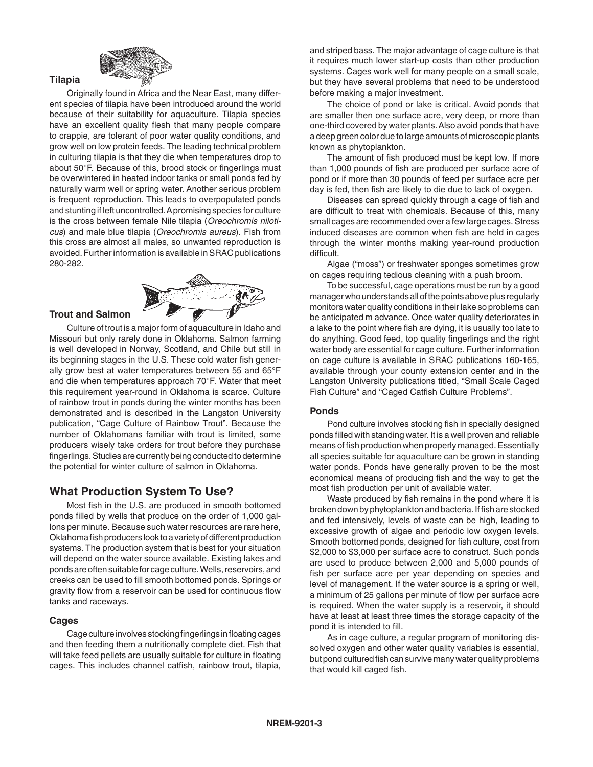

Originally found in Africa and the Near East, many different species of tilapia have been introduced around the world because of their suitability for aquaculture. Tilapia species have an excellent quality flesh that many people compare to crappie, are tolerant of poor water quality conditions, and grow well on low protein feeds. The leading technical problem in culturing tilapia is that they die when temperatures drop to about 50°F. Because of this, brood stock or fingerlings must be overwintered in heated indoor tanks or small ponds fed by naturally warm well or spring water. Another serious problem is frequent reproduction. This leads to overpopulated ponds and stunting if left uncontrolled. A promising species for culture is the cross between female Nile tilapia (*Oreochromis niloticus*) and male blue tilapia (*Oreochromis aureus*). Fish from this cross are almost all males, so unwanted reproduction is avoided. Further information is available in SRAC publications 280-282.



#### **Trout and Salmon**

**Tilapia**

Culture of trout is a major form of aquaculture in Idaho and Missouri but only rarely done in Oklahoma. Salmon farming is well developed in Norway, Scotland, and Chile but still in its beginning stages in the U.S. These cold water fish generally grow best at water temperatures between 55 and 65°F and die when temperatures approach 70°F. Water that meet this requirement year-round in Oklahoma is scarce. Culture of rainbow trout in ponds during the winter months has been demonstrated and is described in the Langston University publication, "Cage Culture of Rainbow Trout". Because the number of Oklahomans familiar with trout is limited, some producers wisely take orders for trout before they purchase fingerlings. Studies are currently being conducted to determine the potential for winter culture of salmon in Oklahoma.

# **What Production System To Use?**

Most fish in the U.S. are produced in smooth bottomed ponds filled by wells that produce on the order of 1,000 gallons per minute. Because such water resources are rare here, Oklahoma fish producers look to a variety of different production systems. The production system that is best for your situation will depend on the water source available. Existing lakes and ponds are often suitable for cage culture. Wells, reservoirs, and creeks can be used to fill smooth bottomed ponds. Springs or gravity flow from a reservoir can be used for continuous flow tanks and raceways.

#### **Cages**

Cage culture involves stocking fingerlings in floating cages and then feeding them a nutritionally complete diet. Fish that will take feed pellets are usually suitable for culture in floating cages. This includes channel catfish, rainbow trout, tilapia,

and striped bass. The major advantage of cage culture is that it requires much lower start-up costs than other production systems. Cages work well for many people on a small scale, but they have several problems that need to be understood before making a major investment.

The choice of pond or lake is critical. Avoid ponds that are smaller then one surface acre, very deep, or more than one-third covered by water plants. Also avoid ponds that have a deep green color due to large amounts of microscopic plants known as phytoplankton.

The amount of fish produced must be kept low. If more than 1,000 pounds of fish are produced per surface acre of pond or if more than 30 pounds of feed per surface acre per day is fed, then fish are likely to die due to lack of oxygen.

Diseases can spread quickly through a cage of fish and are difficult to treat with chemicals. Because of this, many small cages are recommended over a few large cages. Stress induced diseases are common when fish are held in cages through the winter months making year-round production difficult.

Algae ("moss") or freshwater sponges sometimes grow on cages requiring tedious cleaning with a push broom.

To be successful, cage operations must be run by a good manager who understands all of the points above plus regularly monitors water quality conditions in their lake so problems can be anticipated m advance. Once water quality deteriorates in a lake to the point where fish are dying, it is usually too late to do anything. Good feed, top quality fingerlings and the right water body are essential for cage culture. Further information on cage culture is available in SRAC publications 160-165, available through your county extension center and in the Langston University publications titled, "Small Scale Caged Fish Culture" and "Caged Catfish Culture Problems".

#### **Ponds**

Pond culture involves stocking fish in specially designed ponds filled with standing water. It is a well proven and reliable means of fish production when properly managed. Essentially all species suitable for aquaculture can be grown in standing water ponds. Ponds have generally proven to be the most economical means of producing fish and the way to get the most fish production per unit of available water.

Waste produced by fish remains in the pond where it is broken down by phytoplankton and bacteria. If fish are stocked and fed intensively, levels of waste can be high, leading to excessive growth of algae and periodic low oxygen levels. Smooth bottomed ponds, designed for fish culture, cost from \$2,000 to \$3,000 per surface acre to construct. Such ponds are used to produce between 2,000 and 5,000 pounds of fish per surface acre per year depending on species and level of management. If the water source is a spring or well, a minimum of 25 gallons per minute of flow per surface acre is required. When the water supply is a reservoir, it should have at least at least three times the storage capacity of the pond it is intended to fill.

As in cage culture, a regular program of monitoring dissolved oxygen and other water quality variables is essential, but pond cultured fish can survive many water quality problems that would kill caged fish.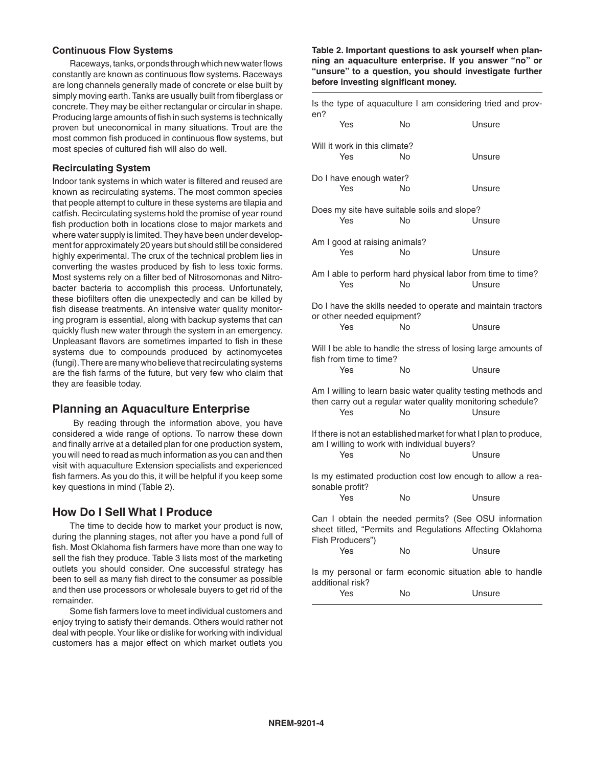#### **Continuous Flow Systems**

Raceways, tanks, or ponds through which new water flows constantly are known as continuous flow systems. Raceways are long channels generally made of concrete or else built by simply moving earth. Tanks are usually built from fiberglass or concrete. They may be either rectangular or circular in shape. Producing large amounts of fish in such systems is technically proven but uneconomical in many situations. Trout are the most common fish produced in continuous flow systems, but most species of cultured fish will also do well.

#### **Recirculating System**

Indoor tank systems in which water is filtered and reused are known as recirculating systems. The most common species that people attempt to culture in these systems are tilapia and catfish. Recirculating systems hold the promise of year round fish production both in locations close to major markets and where water supply is limited. They have been under development for approximately 20 years but should still be considered highly experimental. The crux of the technical problem lies in converting the wastes produced by fish to less toxic forms. Most systems rely on a filter bed of Nitrosomonas and Nitrobacter bacteria to accomplish this process. Unfortunately, these biofilters often die unexpectedly and can be killed by fish disease treatments. An intensive water quality monitoring program is essential, along with backup systems that can quickly flush new water through the system in an emergency. Unpleasant flavors are sometimes imparted to fish in these systems due to compounds produced by actinomycetes (fungi). There are many who believe that recirculating systems are the fish farms of the future, but very few who claim that they are feasible today.

# **Planning an Aquaculture Enterprise**

 By reading through the information above, you have considered a wide range of options. To narrow these down and finally arrive at a detailed plan for one production system, you will need to read as much information as you can and then visit with aquaculture Extension specialists and experienced fish farmers. As you do this, it will be helpful if you keep some key questions in mind (Table 2).

# **How Do I Sell What I Produce**

The time to decide how to market your product is now, during the planning stages, not after you have a pond full of fish. Most Oklahoma fish farmers have more than one way to sell the fish they produce. Table 3 lists most of the marketing outlets you should consider. One successful strategy has been to sell as many fish direct to the consumer as possible and then use processors or wholesale buyers to get rid of the remainder.

Some fish farmers love to meet individual customers and enjoy trying to satisfy their demands. Others would rather not deal with people. Your like or dislike for working with individual customers has a major effect on which market outlets you

#### **Table 2. Important questions to ask yourself when planning an aquaculture enterprise. If you answer "no" or "unsure" to a question, you should investigate further before investing significant money.**

| Is the type of aquaculture I am considering tried and prov-<br>en?                                                                     |    |        |
|----------------------------------------------------------------------------------------------------------------------------------------|----|--------|
| Yes                                                                                                                                    | No | Unsure |
| Will it work in this climate?<br>Yes                                                                                                   | No | Unsure |
| Do I have enough water?<br>Yes                                                                                                         | No | Unsure |
| Does my site have suitable soils and slope?<br>Yes                                                                                     | No | Unsure |
| Am I good at raising animals?<br>Yes                                                                                                   | No | Unsure |
| Am I able to perform hard physical labor from time to time?<br>Yes                                                                     | No | Unsure |
| Do I have the skills needed to operate and maintain tractors<br>or other needed equipment?<br>Yes                                      | No | Unsure |
| Will I be able to handle the stress of losing large amounts of<br>fish from time to time?                                              |    |        |
| Yes                                                                                                                                    | No | Unsure |
| Am I willing to learn basic water quality testing methods and<br>then carry out a regular water quality monitoring schedule?<br>Yes    | N٥ | Unsure |
| If there is not an established market for what I plan to produce,<br>am I willing to work with individual buyers?                      |    |        |
| Yes                                                                                                                                    | No | Unsure |
| Is my estimated production cost low enough to allow a rea-<br>sonable profit?                                                          |    |        |
| Yes                                                                                                                                    | No | Unsure |
| Can I obtain the needed permits? (See OSU information<br>sheet titled, "Permits and Regulations Affecting Oklahoma<br>Fish Producers") |    |        |
| Yes                                                                                                                                    | No | Unsure |
| Is my personal or farm economic situation able to handle<br>additional risk?                                                           |    |        |
| Yes                                                                                                                                    | No | Unsure |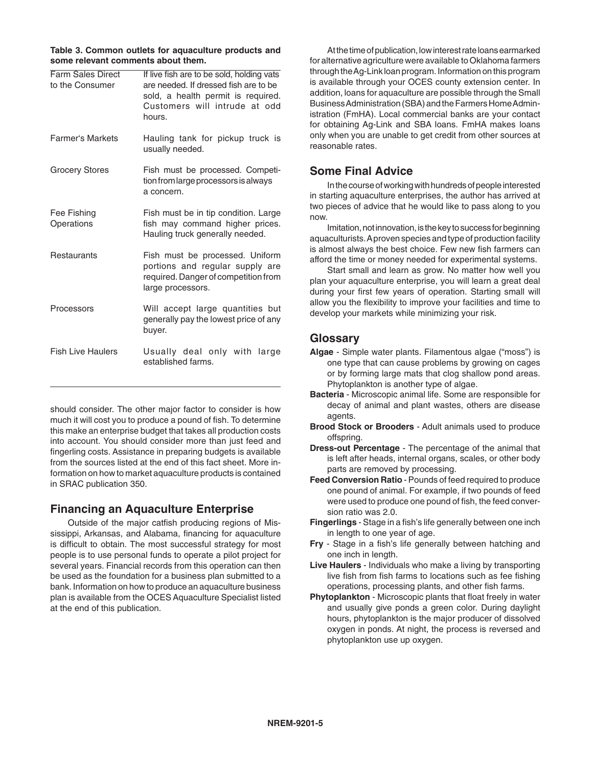**Table 3. Common outlets for aquaculture products and some relevant comments about them.**

| <b>Farm Sales Direct</b><br>to the Consumer | If live fish are to be sold, holding vats<br>are needed. If dressed fish are to be<br>sold, a health permit is required.<br>Customers will intrude at odd<br>hours. |
|---------------------------------------------|---------------------------------------------------------------------------------------------------------------------------------------------------------------------|
| <b>Farmer's Markets</b>                     | Hauling tank for pickup truck is<br>usually needed.                                                                                                                 |
| <b>Grocery Stores</b>                       | Fish must be processed. Competi-<br>tion from large processors is always<br>a concern.                                                                              |
| Fee Fishing<br>Operations                   | Fish must be in tip condition. Large<br>fish may command higher prices.<br>Hauling truck generally needed.                                                          |
| Restaurants                                 | Fish must be processed. Uniform<br>portions and regular supply are<br>required. Danger of competition from<br>large processors.                                     |
| Processors                                  | Will accept large quantities but<br>generally pay the lowest price of any<br>buyer.                                                                                 |
| <b>Fish Live Haulers</b>                    | Usually deal only with<br>large<br>established farms.                                                                                                               |

should consider. The other major factor to consider is how much it will cost you to produce a pound of fish. To determine this make an enterprise budget that takes all production costs into account. You should consider more than just feed and fingerling costs. Assistance in preparing budgets is available from the sources listed at the end of this fact sheet. More information on how to market aquaculture products is contained in SRAC publication 350.

# **Financing an Aquaculture Enterprise**

Outside of the major catfish producing regions of Mississippi, Arkansas, and Alabama, financing for aquaculture is difficult to obtain. The most successful strategy for most people is to use personal funds to operate a pilot project for several years. Financial records from this operation can then be used as the foundation for a business plan submitted to a bank. Information on how to produce an aquaculture business plan is available from the OCES Aquaculture Specialist listed at the end of this publication.

At the time of publication, low interest rate loans earmarked for alternative agriculture were available to Oklahoma farmers through the Ag-Link loan program. Information on this program is available through your OCES county extension center. In addition, loans for aquaculture are possible through the Small Business Administration (SBA) and the Farmers Home Administration (FmHA). Local commercial banks are your contact for obtaining Ag-Link and SBA loans. FmHA makes loans only when you are unable to get credit from other sources at reasonable rates.

# **Some Final Advice**

In the course of working with hundreds of people interested in starting aquaculture enterprises, the author has arrived at two pieces of advice that he would like to pass along to you now.

Imitation, not innovation, is the key to success for beginning aquaculturists. A proven species and type of production facility is almost always the best choice. Few new fish farmers can afford the time or money needed for experimental systems.

Start small and learn as grow. No matter how well you plan your aquaculture enterprise, you will learn a great deal during your first few years of operation. Starting small will allow you the flexibility to improve your facilities and time to develop your markets while minimizing your risk.

# **Glossary**

- **Algae** Simple water plants. Filamentous algae ("moss") is one type that can cause problems by growing on cages or by forming large mats that clog shallow pond areas. Phytoplankton is another type of algae.
- **Bacteria** Microscopic animal life. Some are responsible for decay of animal and plant wastes, others are disease agents.
- **Brood Stock or Brooders** Adult animals used to produce offspring.
- **Dress-out Percentage** The percentage of the animal that is left after heads, internal organs, scales, or other body parts are removed by processing.
- **Feed Conversion Ratio** Pounds of feed required to produce one pound of animal. For example, if two pounds of feed were used to produce one pound of fish, the feed conversion ratio was 2.0.
- **Fingerlings** Stage in a fish's life generally between one inch in length to one year of age.
- **Fry** Stage in a fish's life generally between hatching and one inch in length.
- **Live Haulers**  Individuals who make a living by transporting live fish from fish farms to locations such as fee fishing operations, processing plants, and other fish farms.
- **Phytoplankton** Microscopic plants that float freely in water and usually give ponds a green color. During daylight hours, phytoplankton is the major producer of dissolved oxygen in ponds. At night, the process is reversed and phytoplankton use up oxygen.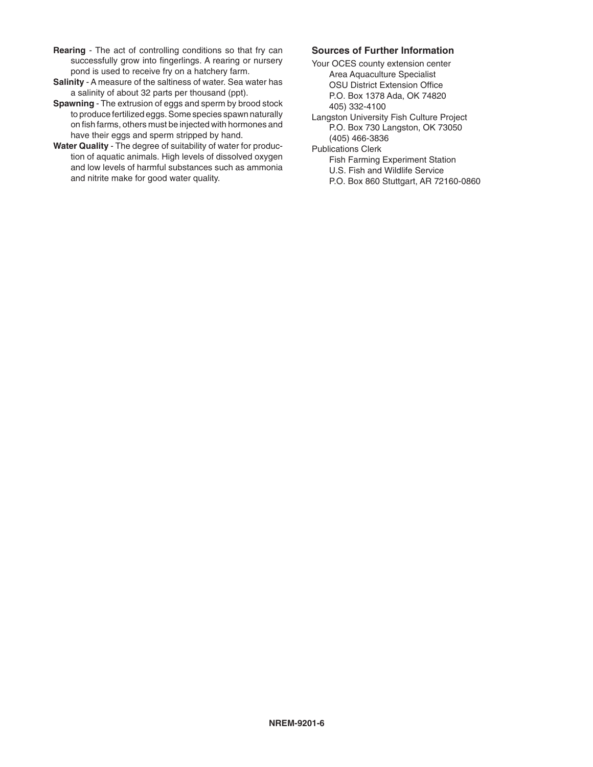- **Rearing** The act of controlling conditions so that fry can successfully grow into fingerlings. A rearing or nursery pond is used to receive fry on a hatchery farm.
- **Salinity**  A measure of the saltiness of water. Sea water has a salinity of about 32 parts per thousand (ppt).
- **Spawning** The extrusion of eggs and sperm by brood stock to produce fertilized eggs. Some species spawn naturally on fish farms, others must be injected with hormones and have their eggs and sperm stripped by hand.
- **Water Quality** The degree of suitability of water for production of aquatic animals. High levels of dissolved oxygen and low levels of harmful substances such as ammonia and nitrite make for good water quality.

#### **Sources of Further Information**

- Your OCES county extension center Area Aquaculture Specialist OSU District Extension Office P.O. Box 1378 Ada, OK 74820 405) 332-4100
- Langston University Fish Culture Project P.O. Box 730 Langston, OK 73050 (405) 466-3836
- Publications Clerk
	- Fish Farming Experiment Station
	- U.S. Fish and Wildlife Service
	- P.O. Box 860 Stuttgart, AR 72160-0860